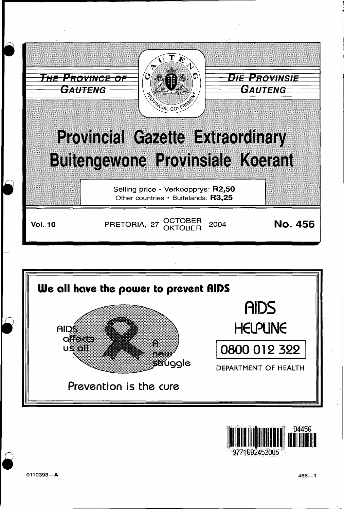



0110393-A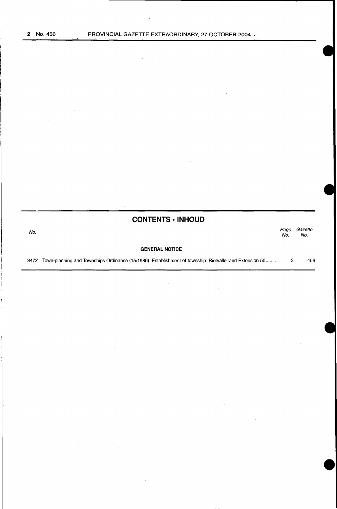$\mathcal{L}$ 

 $\ddot{\phantom{a}}$ 

**CONTENTS • INHOUD** 

No. *Page Gazette*  Page Gazet.<br>No. No. GENERAL NOTICE

3472 Town-planning and Townships Ordinance (15/1986): Establishment of township: Rietvalleirand Extension 50 .......... . 3 456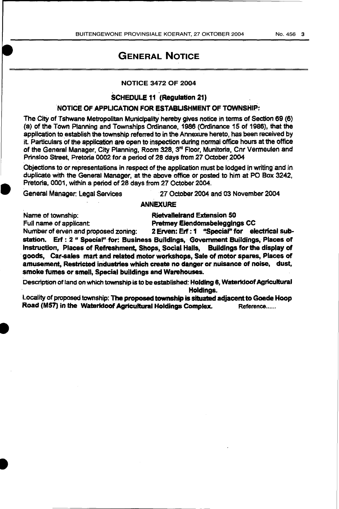# GENERAL NOTICE

## NOTICE 3472 OF 2004

### SCHEDULE 11 (Regulation 21)

. .

## 'NOTICE OF APPLICATION FOR ESTABLISHMENT OF TOWNSHIP:

The CitY of Tshwane Metropolitan Municipality hereby gives notice in terms of Section 69 (6) {a) of the Town Planning and Townships Ordinance, 1988 (Ordinance 15 of 1986), that the application to establish the township referred to in the Annexure hereto, has been received by it. Particulars of the application are open to inspection during normal office hours at the office of the General Manager, City Planning, Room 328, 3<sup>rd</sup> Floor, Munitoria, Cnr Vermeulen and Prinsloo Street, Pretoria 0002 for a period of 28 days from 27 October. 2004

Objections to or representations in respect of the application must be lodged in writing and in duplicate with the General Manager, at the above office or posted to him at PO Box 3242, Pretoria, 0001, within. a period of 28 days from 27 October 2004.

General Manager: Legal Services · 27 October 2004 and 03 November 2004

## ANNEXURE

I

Name of township: The Rietvallelrand Extension 50 Full name of applicant: **Fretmey Eiendomsbeleggings CC** 

Number of erven and proposed zoning: 2 Erven: Erf : 1 "Special" for electrical substation. Erf: 2 " Special" for: Business Buildings, Government Buildings, Places of Instruction, Places of Refreshment, Shops, Social Halls, Buildings for the display of goods, Car-sales mart and related motor workshops, Sale of motor spares, Places of amusement. Restricted industries which create no danger or nuisance of noise, dust, smoke fumes or smell, Spacial buildings and Warehouses.

Description of land on which township is to be established: Holding 8, Waterkloof Agricultural Holdings.

Locality of proposed township: The proposed township is situated adjacent to Goede Haop Road (M57) in the Waterkloof Agricultural Holdings Complex. Reference......